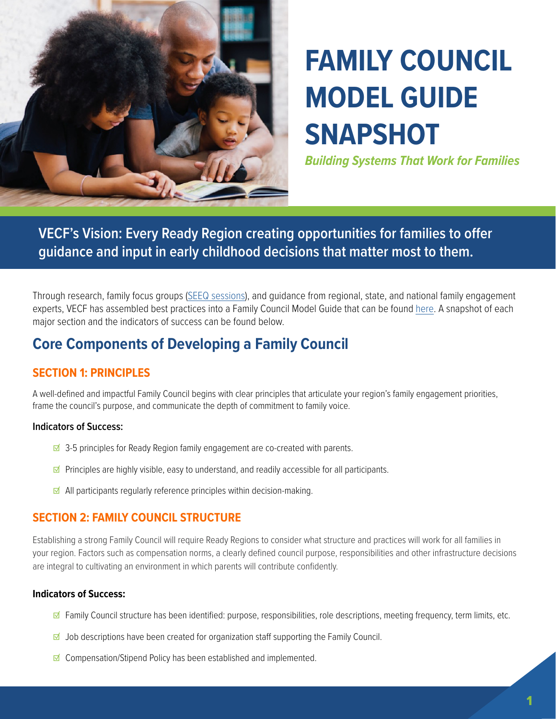

# **FAMILY COUNCIL MODEL GUIDE SNAPSHOT**

*Building Systems That Work for Families*

**VECF's Vision: Every Ready Region creating opportunities for families to offer guidance and input in early childhood decisions that matter most to them.**

Through research, family focus groups ([SEEQ sessions\)](https://www.seeqrva.com/about-seeq), and guidance from regional, state, and national family engagement experts, VECF has assembled best practices into a Family Council Model Guide that can be found [here.](https://drive.google.com/file/d/1pBQr1pEoEGUE2pu0XW89PxjpBesMnrKw/view) A snapshot of each major section and the indicators of success can be found below.

## **Core Components of Developing a Family Council**

## **SECTION 1: PRINCIPLES**

A well-defined and impactful Family Council begins with clear principles that articulate your region's family engagement priorities, frame the council's purpose, and communicate the depth of commitment to family voice.

#### **Indicators of Success:**

- **☑** 3-5 principles for Ready Region family engagement are co-created with parents.
- **☑** Principles are highly visible, easy to understand, and readily accessible for all participants.
- **☑** All participants regularly reference principles within decision-making.

### **SECTION 2: FAMILY COUNCIL STRUCTURE**

Establishing a strong Family Council will require Ready Regions to consider what structure and practices will work for all families in your region. Factors such as compensation norms, a clearly defined council purpose, responsibilities and other infrastructure decisions are integral to cultivating an environment in which parents will contribute confidently.

#### **Indicators of Success:**

- **☑** Family Council structure has been identified: purpose, responsibilities, role descriptions, meeting frequency, term limits, etc.
- **☑** Job descriptions have been created for organization staff supporting the Family Council.
- **☑** Compensation/Stipend Policy has been established and implemented.